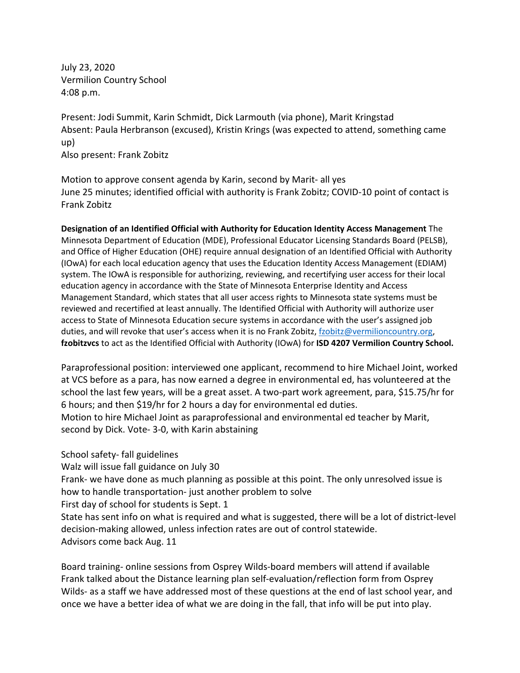July 23, 2020 Vermilion Country School 4:08 p.m.

Frank Zobitz

Present: Jodi Summit, Karin Schmidt, Dick Larmouth (via phone), Marit Kringstad Absent: Paula Herbranson (excused), Kristin Krings (was expected to attend, something came up) Also present: Frank Zobitz

Motion to approve consent agenda by Karin, second by Marit- all yes June 25 minutes; identified official with authority is Frank Zobitz; COVID-10 point of contact is

**Designation of an Identified Official with Authority for Education Identity Access Management** The Minnesota Department of Education (MDE), Professional Educator Licensing Standards Board (PELSB), and Office of Higher Education (OHE) require annual designation of an Identified Official with Authority (IOwA) for each local education agency that uses the Education Identity Access Management (EDIAM) system. The IOwA is responsible for authorizing, reviewing, and recertifying user access for their local education agency in accordance with the State of Minnesota Enterprise Identity and Access Management Standard, which states that all user access rights to Minnesota state systems must be reviewed and recertified at least annually. The Identified Official with Authority will authorize user access to State of Minnesota Education secure systems in accordance with the user's assigned job duties, and will revoke that user's access when it is no Frank Zobitz[, fzobitz@vermilioncountry.org,](mailto:fzobitz@vermilioncountry.org) **fzobitzvcs** to act as the Identified Official with Authority (IOwA) for **ISD 4207 Vermilion Country School.**

Paraprofessional position: interviewed one applicant, recommend to hire Michael Joint, worked at VCS before as a para, has now earned a degree in environmental ed, has volunteered at the school the last few years, will be a great asset. A two-part work agreement, para, \$15.75/hr for 6 hours; and then \$19/hr for 2 hours a day for environmental ed duties. Motion to hire Michael Joint as paraprofessional and environmental ed teacher by Marit, second by Dick. Vote- 3-0, with Karin abstaining

## School safety- fall guidelines

Walz will issue fall guidance on July 30

Frank- we have done as much planning as possible at this point. The only unresolved issue is how to handle transportation- just another problem to solve

First day of school for students is Sept. 1

State has sent info on what is required and what is suggested, there will be a lot of district-level decision-making allowed, unless infection rates are out of control statewide. Advisors come back Aug. 11

Board training- online sessions from Osprey Wilds-board members will attend if available Frank talked about the Distance learning plan self-evaluation/reflection form from Osprey Wilds- as a staff we have addressed most of these questions at the end of last school year, and once we have a better idea of what we are doing in the fall, that info will be put into play.